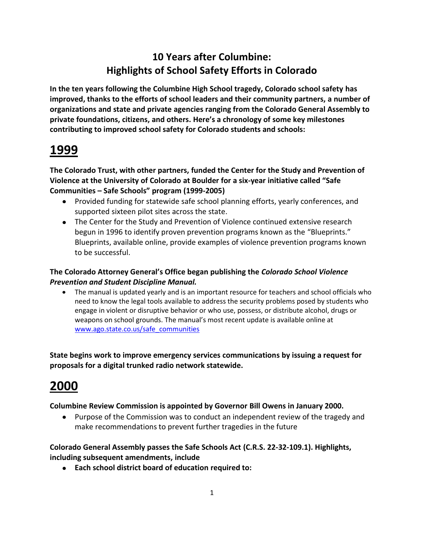## **10 Years after Columbine: Highlights of School Safety Efforts in Colorado**

**In the ten years following the Columbine High School tragedy, Colorado school safety has improved, thanks to the efforts of school leaders and their community partners, a number of organizations and state and private agencies ranging from the Colorado General Assembly to private foundations, citizens, and others. Here's a chronology of some key milestones contributing to improved school safety for Colorado students and schools:**

# **1999**

**The Colorado Trust, with other partners, funded the Center for the Study and Prevention of Violence at the University of Colorado at Boulder for a six-year initiative called "Safe Communities – Safe Schools" program (1999-2005)**

- Provided funding for statewide safe school planning efforts, yearly conferences, and supported sixteen pilot sites across the state.
- The Center for the Study and Prevention of Violence continued extensive research begun in 1996 to identify proven prevention programs known as the "Blueprints." Blueprints, available online, provide examples of violence prevention programs known to be successful.

## **The Colorado Attorney General's Office began publishing the** *Colorado School Violence Prevention and Student Discipline Manual.*

The manual is updated yearly and is an important resource for teachers and school officials who need to know the legal tools available to address the security problems posed by students who engage in violent or disruptive behavior or who use, possess, or distribute alcohol, drugs or weapons on school grounds. The manual's most recent update is available online at [www.ago.state.co.us/safe\\_communities](http://www.ago.state.co.us/safe_communities)

**State begins work to improve emergency services communications by issuing a request for proposals for a digital trunked radio network statewide.**

# **2000**

## **Columbine Review Commission is appointed by Governor Bill Owens in January 2000.**

Purpose of the Commission was to conduct an independent review of the tragedy and make recommendations to prevent further tragedies in the future

## **Colorado General Assembly passes the Safe Schools Act (C.R.S. 22-32-109.1). Highlights, including subsequent amendments, include**

**Each school district board of education required to:**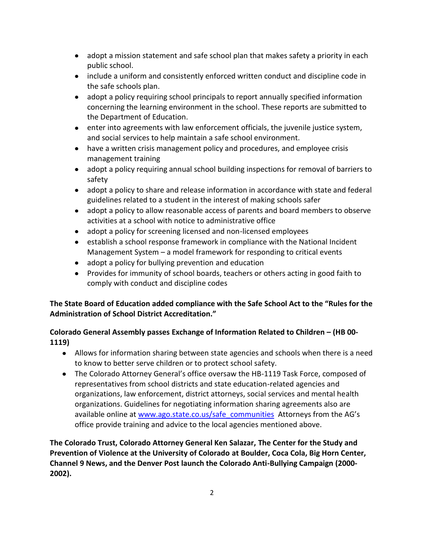- adopt a mission statement and safe school plan that makes safety a priority in each public school.
- include a uniform and consistently enforced written conduct and discipline code in the safe schools plan.
- adopt a policy requiring school principals to report annually specified information concerning the learning environment in the school. These reports are submitted to the Department of Education.
- enter into agreements with law enforcement officials, the juvenile justice system, and social services to help maintain a safe school environment.
- have a written crisis management policy and procedures, and employee crisis management training
- adopt a policy requiring annual school building inspections for removal of barriers to safety
- adopt a policy to share and release information in accordance with state and federal guidelines related to a student in the interest of making schools safer
- adopt a policy to allow reasonable access of parents and board members to observe activities at a school with notice to administrative office
- adopt a policy for screening licensed and non-licensed employees
- establish a school response framework in compliance with the National Incident Management System – a model framework for responding to critical events
- adopt a policy for bullying prevention and education
- Provides for immunity of school boards, teachers or others acting in good faith to comply with conduct and discipline codes

## **The State Board of Education added compliance with the Safe School Act to the "Rules for the Administration of School District Accreditation."**

### **Colorado General Assembly passes Exchange of Information Related to Children – (HB 00- 1119)**

- Allows for information sharing between state agencies and schools when there is a need to know to better serve children or to protect school safety.
- The Colorado Attorney General's office oversaw the HB-1119 Task Force, composed of representatives from school districts and state education-related agencies and organizations, law enforcement, district attorneys, social services and mental health organizations. Guidelines for negotiating information sharing agreements also are available online at [www.ago.state.co.us/safe\\_communities](http://www.ago.state.co.us/safe_communities) Attorneys from the AG's office provide training and advice to the local agencies mentioned above.

**The Colorado Trust, Colorado Attorney General Ken Salazar, The Center for the Study and Prevention of Violence at the University of Colorado at Boulder, Coca Cola, Big Horn Center, Channel 9 News, and the Denver Post launch the Colorado Anti-Bullying Campaign (2000- 2002).**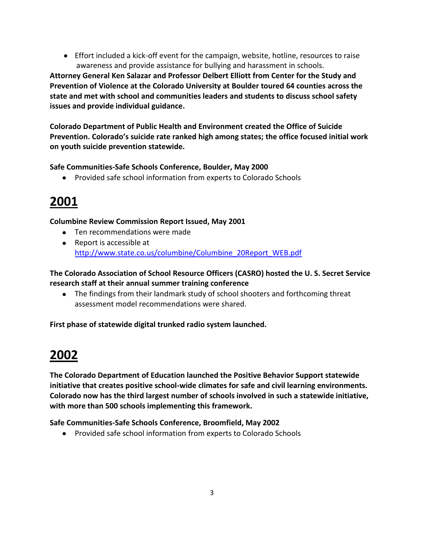Effort included a kick-off event for the campaign, website, hotline, resources to raise awareness and provide assistance for bullying and harassment in schools.

**Attorney General Ken Salazar and Professor Delbert Elliott from Center for the Study and Prevention of Violence at the Colorado University at Boulder toured 64 counties across the state and met with school and communities leaders and students to discuss school safety issues and provide individual guidance.**

**Colorado Department of Public Health and Environment created the Office of Suicide Prevention. Colorado's suicide rate ranked high among states; the office focused initial work on youth suicide prevention statewide.**

### **Safe Communities-Safe Schools Conference, Boulder, May 2000**

Provided safe school information from experts to Colorado Schools

## **2001**

#### **Columbine Review Commission Report Issued, May 2001**

- Ten recommendations were made
- Report is accessible at [http://www.state.co.us/columbine/Columbine\\_20Report\\_WEB.pdf](http://www.state.co.us/columbine/Columbine_20Report_WEB.pdf)

**The Colorado Association of School Resource Officers (CASRO) hosted the U. S. Secret Service research staff at their annual summer training conference**

• The findings from their landmark study of school shooters and forthcoming threat assessment model recommendations were shared.

**First phase of statewide digital trunked radio system launched.**

# **2002**

**The Colorado Department of Education launched the Positive Behavior Support statewide initiative that creates positive school-wide climates for safe and civil learning environments. Colorado now has the third largest number of schools involved in such a statewide initiative, with more than 500 schools implementing this framework.**

**Safe Communities-Safe Schools Conference, Broomfield, May 2002** 

Provided safe school information from experts to Colorado Schools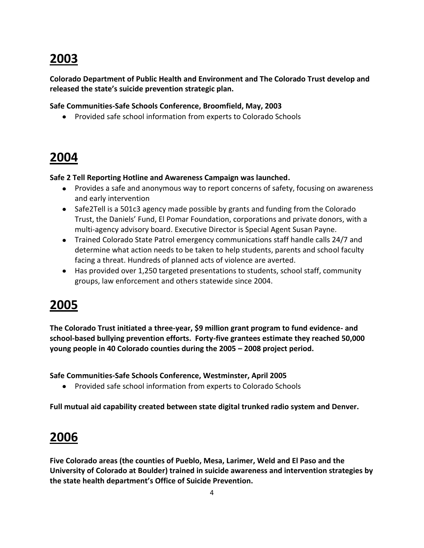# **2003**

**Colorado Department of Public Health and Environment and The Colorado Trust develop and released the state's suicide prevention strategic plan.**

**Safe Communities-Safe Schools Conference, Broomfield, May, 2003** 

Provided safe school information from experts to Colorado Schools

## **2004**

**Safe 2 Tell Reporting Hotline and Awareness Campaign was launched.** 

- Provides a safe and anonymous way to report concerns of safety, focusing on awareness and early intervention
- Safe2Tell is a 501c3 agency made possible by grants and funding from the Colorado Trust, the Daniels' Fund, El Pomar Foundation, corporations and private donors, with a multi-agency advisory board. Executive Director is Special Agent Susan Payne.
- Trained Colorado State Patrol emergency communications staff handle calls 24/7 and determine what action needs to be taken to help students, parents and school faculty facing a threat. Hundreds of planned acts of violence are averted.
- Has provided over 1,250 targeted presentations to students, school staff, community groups, law enforcement and others statewide since 2004.

# **2005**

**The Colorado Trust initiated a three-year, \$9 million grant program to fund evidence- and school-based bullying prevention efforts. Forty-five grantees estimate they reached 50,000 young people in 40 Colorado counties during the 2005 – 2008 project period.**

**Safe Communities-Safe Schools Conference, Westminster, April 2005** 

Provided safe school information from experts to Colorado Schools

**Full mutual aid capability created between state digital trunked radio system and Denver.**

# **2006**

**Five Colorado areas (the counties of Pueblo, Mesa, Larimer, Weld and El Paso and the University of Colorado at Boulder) trained in suicide awareness and intervention strategies by the state health department's Office of Suicide Prevention.**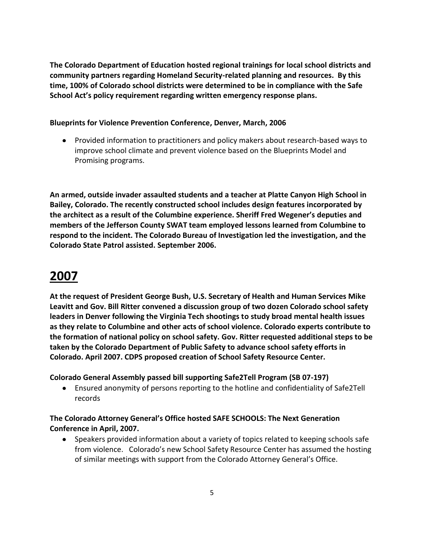**The Colorado Department of Education hosted regional trainings for local school districts and community partners regarding Homeland Security-related planning and resources. By this time, 100% of Colorado school districts were determined to be in compliance with the Safe School Act's policy requirement regarding written emergency response plans.**

#### **Blueprints for Violence Prevention Conference, Denver, March, 2006**

Provided information to practitioners and policy makers about research-based ways to improve school climate and prevent violence based on the Blueprints Model and Promising programs.

**An armed, outside invader assaulted students and a teacher at Platte Canyon High School in Bailey, Colorado. The recently constructed school includes design features incorporated by the architect as a result of the Columbine experience. Sheriff Fred Wegener's deputies and members of the Jefferson County SWAT team employed lessons learned from Columbine to respond to the incident. The Colorado Bureau of Investigation led the investigation, and the Colorado State Patrol assisted. September 2006.**

# **2007**

**At the request of President George Bush, U.S. Secretary of Health and Human Services Mike Leavitt and Gov. Bill Ritter convened a discussion group of two dozen Colorado school safety leaders in Denver following the Virginia Tech shootings to study broad mental health issues as they relate to Columbine and other acts of school violence. Colorado experts contribute to the formation of national policy on school safety. Gov. Ritter requested additional steps to be taken by the Colorado Department of Public Safety to advance school safety efforts in Colorado. April 2007. CDPS proposed creation of School Safety Resource Center.**

### **Colorado General Assembly passed bill supporting Safe2Tell Program (SB 07-197)**

Ensured anonymity of persons reporting to the hotline and confidentiality of Safe2Tell records

### **The Colorado Attorney General's Office hosted SAFE SCHOOLS: The Next Generation Conference in April, 2007.**

• Speakers provided information about a variety of topics related to keeping schools safe from violence. Colorado's new School Safety Resource Center has assumed the hosting of similar meetings with support from the Colorado Attorney General's Office.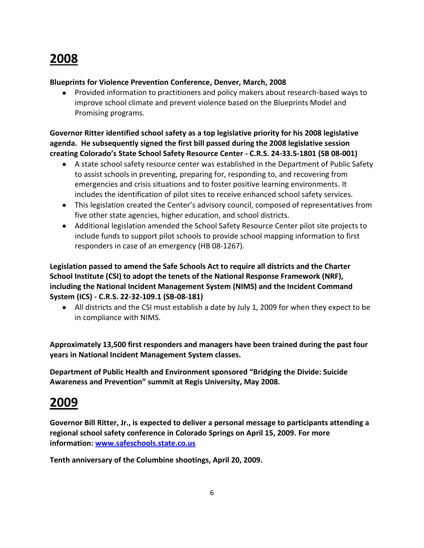# **2008**

#### **Blueprints for Violence Prevention Conference, Denver, March, 2008**

Provided information to practitioners and policy makers about research-based ways to  $\bullet$ improve school climate and prevent violence based on the Blueprints Model and Promising programs.

**Governor Ritter identified school safety as a top legislative priority for his 2008 legislative agenda. He subsequently signed the first bill passed during the 2008 legislative session creating Colorado's State School Safety Resource Center - C.R.S. 24-33.5-1801 (SB 08-001)**

- A state school safety resource center was established in the Department of Public Safety to assist schools in preventing, preparing for, responding to, and recovering from emergencies and crisis situations and to foster positive learning environments. It includes the identification of pilot sites to receive enhanced school safety services.
- This legislation created the Center's advisory council, composed of representatives from five other state agencies, higher education, and school districts.
- Additional legislation amended the School Safety Resource Center pilot site projects to include funds to support pilot schools to provide school mapping information to first responders in case of an emergency (HB 08-1267).

**Legislation passed to amend the Safe Schools Act to require all districts and the Charter School Institute (CSI) to adopt the tenets of the National Response Framework (NRF), including the National Incident Management System (NIMS) and the Incident Command System (ICS) - C.R.S. 22-32-109.1 (SB-08-181)** 

All districts and the CSI must establish a date by July 1, 2009 for when they expect to be in compliance with NIMS.

**Approximately 13,500 first responders and managers have been trained during the past four years in National Incident Management System classes.**

**Department of Public Health and Environment sponsored "Bridging the Divide: Suicide Awareness and Prevention" summit at Regis University, May 2008.**

# **2009**

**Governor Bill Ritter, Jr., is expected to deliver a personal message to participants attending a regional school safety conference in Colorado Springs on April 15, 2009. For more information: [www.safeschools.state.co.us](http://www.safeschools.state.co.us/)**

**Tenth anniversary of the Columbine shootings, April 20, 2009.**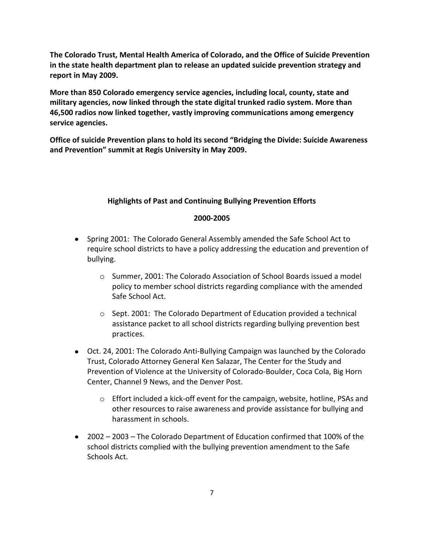**The Colorado Trust, Mental Health America of Colorado, and the Office of Suicide Prevention in the state health department plan to release an updated suicide prevention strategy and report in May 2009.**

**More than 850 Colorado emergency service agencies, including local, county, state and military agencies, now linked through the state digital trunked radio system. More than 46,500 radios now linked together, vastly improving communications among emergency service agencies.**

**Office of suicide Prevention plans to hold its second "Bridging the Divide: Suicide Awareness and Prevention" summit at Regis University in May 2009.**

#### **Highlights of Past and Continuing Bullying Prevention Efforts**

#### **2000-2005**

- Spring 2001: The Colorado General Assembly amended the Safe School Act to require school districts to have a policy addressing the education and prevention of bullying.
	- o Summer, 2001: The Colorado Association of School Boards issued a model policy to member school districts regarding compliance with the amended Safe School Act.
	- $\circ$  Sept. 2001: The Colorado Department of Education provided a technical assistance packet to all school districts regarding bullying prevention best practices.
- Oct. 24, 2001: The Colorado Anti-Bullying Campaign was launched by the Colorado Trust, Colorado Attorney General Ken Salazar, The Center for the Study and Prevention of Violence at the University of Colorado-Boulder, Coca Cola, Big Horn Center, Channel 9 News, and the Denver Post.
	- o Effort included a kick-off event for the campaign, website, hotline, PSAs and other resources to raise awareness and provide assistance for bullying and harassment in schools.
- 2002 2003 The Colorado Department of Education confirmed that 100% of the school districts complied with the bullying prevention amendment to the Safe Schools Act.